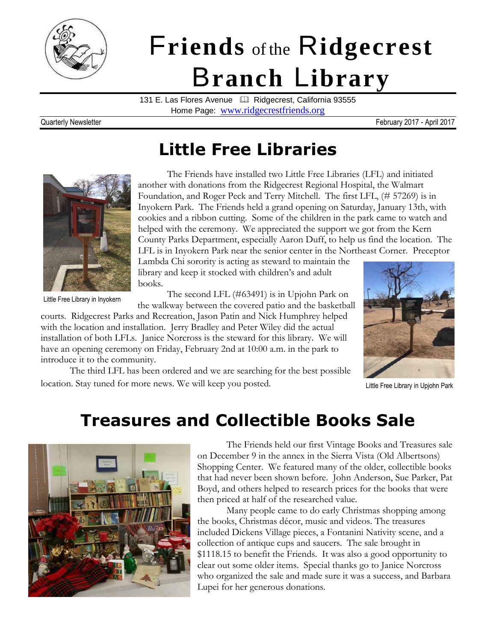

# F**riends** of the R**idgecrest** B**ranch** L**ibrary**

131 E. Las Flores Avenue <sup>1</sup> Ridgecrest, California 93555 Home Page: [www.ridgecrestfriends.org](http://www.ridgecrestfriends.org/)

Quarterly Newsletter February 2017 - April 2017

### **Little Free Libraries**



The Friends have installed two Little Free Libraries (LFL) and initiated another with donations from the Ridgecrest Regional Hospital, the Walmart Foundation, and Roger Peck and Terry Mitchell. The first LFL, (# 57269) is in Inyokern Park. The Friends held a grand opening on Saturday, January 13th, with cookies and a ribbon cutting. Some of the children in the park came to watch and helped with the ceremony. We appreciated the support we got from the Kern County Parks Department, especially Aaron Duff, to help us find the location. The LFL is in Inyokern Park near the senior center in the Northeast Corner. Preceptor

Lambda Chi sorority is acting as steward to maintain the library and keep it stocked with children's and adult books.

The second LFL (#63491) is in Upjohn Park on the walkway between the covered patio and the basketball

courts. Ridgecrest Parks and Recreation, Jason Patin and Nick Humphrey helped with the location and installation. Jerry Bradley and Peter Wiley did the actual installation of both LFLs. Janice Norcross is the steward for this library. We will have an opening ceremony on Friday, February 2nd at 10:00 a.m. in the park to introduce it to the community.

The third LFL has been ordered and we are searching for the best possible location. Stay tuned for more news. We will keep you posted.



Little Free Library in Upjohn Park

### **Treasures and Collectible Books Sale**



The Friends held our first Vintage Books and Treasures sale on December 9 in the annex in the Sierra Vista (Old Albertsons) Shopping Center. We featured many of the older, collectible books that had never been shown before. John Anderson, Sue Parker, Pat Boyd, and others helped to research prices for the books that were then priced at half of the researched value.

Many people came to do early Christmas shopping among the books, Christmas décor, music and videos. The treasures included Dickens Village pieces, a Fontanini Nativity scene, and a collection of antique cups and saucers. The sale brought in \$1118.15 to benefit the Friends. It was also a good opportunity to clear out some older items. Special thanks go to Janice Norcross who organized the sale and made sure it was a success, and Barbara Lupei for her generous donations.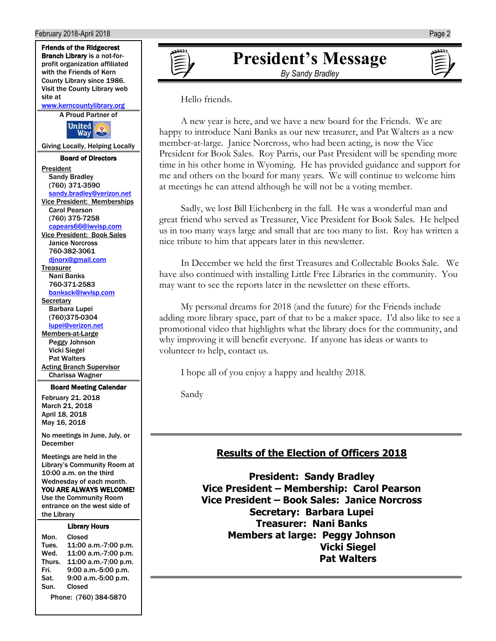

Phone: (760) 384-5870



## **President's Message**

*By Sandy Bradley*

Hello friends.

A new year is here, and we have a new board for the Friends. We are happy to introduce Nani Banks as our new treasurer, and Pat Walters as a new member-at-large. Janice Norcross, who had been acting, is now the Vice President for Book Sales. Roy Parris, our Past President will be spending more time in his other home in Wyoming. He has provided guidance and support for me and others on the board for many years. We will continue to welcome him at meetings he can attend although he will not be a voting member.

Sadly, we lost Bill Eichenberg in the fall. He was a wonderful man and great friend who served as Treasurer, Vice President for Book Sales. He helped us in too many ways large and small that are too many to list. Roy has written a nice tribute to him that appears later in this newsletter.

In December we held the first Treasures and Collectable Books Sale. We have also continued with installing Little Free Libraries in the community. You may want to see the reports later in the newsletter on these efforts.

My personal dreams for 2018 (and the future) for the Friends include adding more library space, part of that to be a maker space. I'd also like to see a promotional video that highlights what the library does for the community, and why improving it will benefit everyone. If anyone has ideas or wants to volunteer to help, contact us.

I hope all of you enjoy a happy and healthy 2018.

Sandy

#### **Results of the Election of Officers 2018**

**President: Sandy Bradley Vice President – Membership: Carol Pearson Vice President – Book Sales: Janice Norcross Secretary: Barbara Lupei Treasurer: Nani Banks Members at large: Peggy Johnson Vicki Siegel Pat Walters**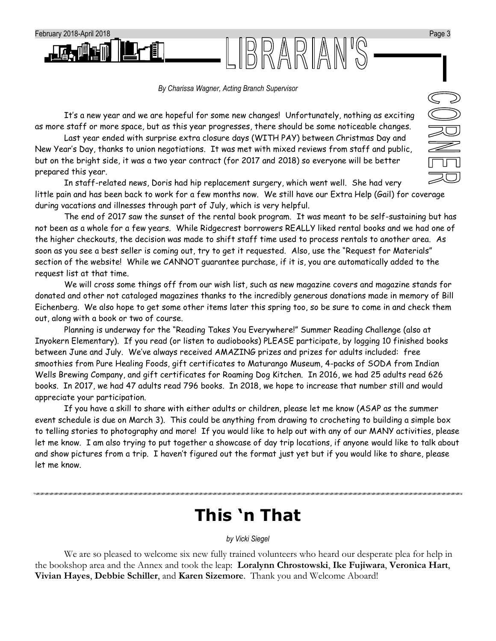

#### *By Charissa Wagner, Acting Branch Supervisor*

It's a new year and we are hopeful for some new changes! Unfortunately, nothing as exciting as more staff or more space, but as this year progresses, there should be some noticeable changes.

Last year ended with surprise extra closure days (WITH PAY) between Christmas Day and New Year's Day, thanks to union negotiations. It was met with mixed reviews from staff and public, but on the bright side, it was a two year contract (for 2017 and 2018) so everyone will be better prepared this year.

In staff-related news, Doris had hip replacement surgery, which went well. She had very little pain and has been back to work for a few months now. We still have our Extra Help (Gail) for coverage during vacations and illnesses through part of July, which is very helpful.

The end of 2017 saw the sunset of the rental book program. It was meant to be self-sustaining but has not been as a whole for a few years. While Ridgecrest borrowers REALLY liked rental books and we had one of the higher checkouts, the decision was made to shift staff time used to process rentals to another area. As soon as you see a best seller is coming out, try to get it requested. Also, use the "Request for Materials" section of the website! While we CANNOT guarantee purchase, if it is, you are automatically added to the request list at that time.

We will cross some things off from our wish list, such as new magazine covers and magazine stands for donated and other not cataloged magazines thanks to the incredibly generous donations made in memory of Bill Eichenberg. We also hope to get some other items later this spring too, so be sure to come in and check them out, along with a book or two of course.

Planning is underway for the "Reading Takes You Everywhere!" Summer Reading Challenge (also at Inyokern Elementary). If you read (or listen to audiobooks) PLEASE participate, by logging 10 finished books between June and July. We've always received AMAZING prizes and prizes for adults included: free smoothies from Pure Healing Foods, gift certificates to Maturango Museum, 4-packs of SODA from Indian Wells Brewing Company, and gift certificates for Roaming Dog Kitchen. In 2016, we had 25 adults read 626 books. In 2017, we had 47 adults read 796 books. In 2018, we hope to increase that number still and would appreciate your participation.

If you have a skill to share with either adults or children, please let me know (ASAP as the summer event schedule is due on March 3). This could be anything from drawing to crocheting to building a simple box to telling stories to photography and more! If you would like to help out with any of our MANY activities, please let me know. I am also trying to put together a showcase of day trip locations, if anyone would like to talk about and show pictures from a trip. I haven't figured out the format just yet but if you would like to share, please let me know.

### **This 'n That**

#### *by Vicki Siegel*

We are so pleased to welcome six new fully trained volunteers who heard our desperate plea for help in the bookshop area and the Annex and took the leap: **Loralynn Chrostowski**, **Ike Fujiwara**, **Veronica Hart**, **Vivian Hayes**, **Debbie Schiller**, and **Karen Sizemore**. Thank you and Welcome Aboard!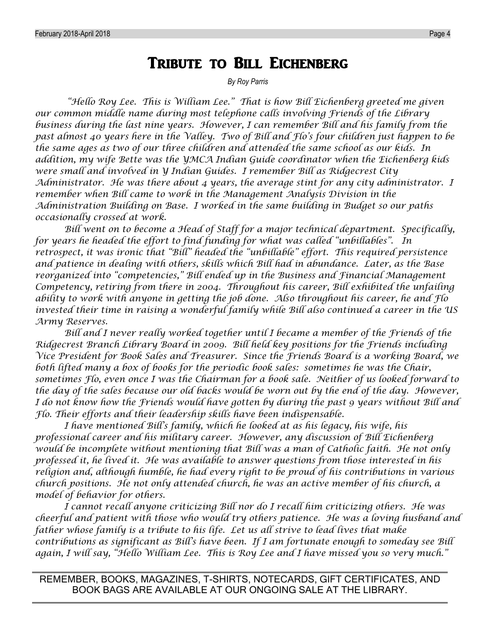#### Tribute to Bill Eichenberg

*By Roy Parris*

*"Hello Roy Lee. This is William Lee." That is how Bill Eichenberg greeted me given our common middle name during most telephone calls involving Friends of the Library business during the last nine years. However, I can remember Bill and his family from the past almost 40 years here in the Valley. Two of Bill and Flo's four children just happen to be the same ages as two of our three children and attended the same school as our kids. In addition, my wife Bette was the YMCA Indian Guide coordinator when the Eichenberg kids were small and involved in Y Indian Guides. I remember Bill as Ridgecrest City Administrator. He was there about 4 years, the average stint for any city administrator. I remember when Bill came to work in the Management Analysis Division in the Administration Building on Base. I worked in the same building in Budget so our paths occasionally crossed at work.*

*Bill went on to become a Head of Staff for a major technical department. Specifically, for years he headed the effort to find funding for what was called "unbillables". In retrospect, it was ironic that "Bill" headed the "unbillable" effort. This required persistence and patience in dealing with others, skills which Bill had in abundance. Later, as the Base reorganized into "competencies," Bill ended up in the Business and Financial Management Competency, retiring from there in 2004. Throughout his career, Bill exhibited the unfailing ability to work with anyone in getting the job done. Also throughout his career, he and Flo invested their time in raising a wonderful family while Bill also continued a career in the US Army Reserves.*

*Bill and I never really worked together until I became a member of the Friends of the Ridgecrest Branch Library Board in 2009. Bill held key positions for the Friends including Vice President for Book Sales and Treasurer. Since the Friends Board is a working Board, we both lifted many a box of books for the periodic book sales: sometimes he was the Chair, sometimes Flo, even once I was the Chairman for a book sale. Neither of us looked forward to the day of the sales because our old backs would be worn out by the end of the day. However, I do not know how the Friends would have gotten by during the past 9 years without Bill and Flo. Their efforts and their leadership skills have been indispensable.*

*I have mentioned Bill's family, which he looked at as his legacy, his wife, his professional career and his military career. However, any discussion of Bill Eichenberg would be incomplete without mentioning that Bill was a man of Catholic faith. He not only professed it, he lived it. He was available to answer questions from those interested in his religion and, although humble, he had every right to be proud of his contributions in various church positions. He not only attended church, he was an active member of his church, a model of behavior for others.*

*I cannot recall anyone criticizing Bill nor do I recall him criticizing others. He was cheerful and patient with those who would try others patience. He was a loving husband and father whose family is a tribute to his life. Let us all strive to lead lives that make contributions as significant as Bill's have been. If I am fortunate enough to someday see Bill again, I will say, "Hello William Lee. This is Roy Lee and I have missed you so very much."*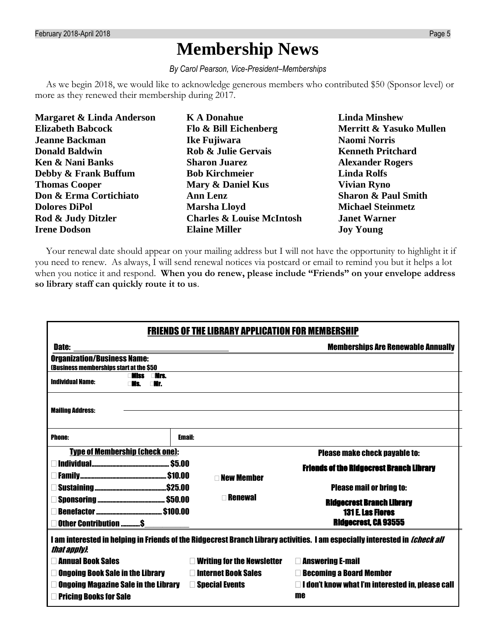### **Membership News**

*By Carol Pearson, Vice-President–Memberships*

As we begin 2018, we would like to acknowledge generous members who contributed \$50 (Sponsor level) or more as they renewed their membership during 2017.

**Margaret & Linda Anderson Elizabeth Babcock Jeanne Backman Donald Baldwin Ken & Nani Banks Debby & Frank Buffum Thomas Cooper Don & Erma Cortichiato Dolores DiPol Rod & Judy Ditzler Irene Dodson**

**K A Donahue Flo & Bill Eichenberg Ike Fujiwara Rob & Julie Gervais Sharon Juarez Bob Kirchmeier Mary & Daniel Kus Ann Lenz Marsha Lloyd Charles & Louise McIntosh Elaine Miller**

**Linda Minshew Merritt & Yasuko Mullen Naomi Norris Kenneth Pritchard Alexander Rogers Linda Rolfs Vivian Ryno Sharon & Paul Smith Michael Steinmetz Janet Warner Joy Young**

Your renewal date should appear on your mailing address but I will not have the opportunity to highlight it if you need to renew. As always, I will send renewal notices via postcard or email to remind you but it helps a lot when you notice it and respond. **When you do renew, please include "Friends" on your envelope address so library staff can quickly route it to us**.

| <b>FRIENDS OF THE LIBRARY APPLICATION FOR MEMBERSHIP</b>                                                                                           |                                   |                                                         |
|----------------------------------------------------------------------------------------------------------------------------------------------------|-----------------------------------|---------------------------------------------------------|
| <b>Date:</b>                                                                                                                                       |                                   | <b>Memberships Are Renewable Annually</b>               |
| <b>Organization/Business Name:</b><br>(Business memberships start at the \$50                                                                      |                                   |                                                         |
| llee<br>lirs.<br><b>Individual Name:</b>                                                                                                           |                                   |                                                         |
| <b>Mailing Address:</b>                                                                                                                            |                                   |                                                         |
| <b>Phone:</b>                                                                                                                                      | <b>Email:</b>                     |                                                         |
| <b>Type of Membership (check one):</b><br><b>Please make check payable to:</b>                                                                     |                                   |                                                         |
|                                                                                                                                                    |                                   | <b>Friends of the Ridgecrest Branch Library</b>         |
|                                                                                                                                                    | <b>New Member</b>                 |                                                         |
|                                                                                                                                                    |                                   | <b>Please mail or bring to:</b>                         |
|                                                                                                                                                    | <b>Renewal</b>                    | <b>Ridgecrest Branch Library</b>                        |
| Other Contribution \$                                                                                                                              |                                   | <b>131 E. Las Flores</b><br><b>Ridgecrest, CA 93555</b> |
| I am interested in helping in Friends of the Ridgecrest Branch Library activities. I am especially interested in <i>(check all</i><br>that apply). |                                   |                                                         |
| <b>Example Book Sales</b>                                                                                                                          | <b>Writing for the Newsletter</b> | <b>Example 2</b> Answering E-mail                       |
| <b>Ongoing Book Sale in the Library</b>                                                                                                            | <b>□ Internet Book Sales</b>      | <b>Becoming a Board Member</b>                          |
| $\Box$ Ongoing Magazine Sale in the Library                                                                                                        | <b>Special Events</b>             | $\Box$ I don't know what I'm interested in, please call |
| Pricing Books for Sale                                                                                                                             |                                   | me                                                      |